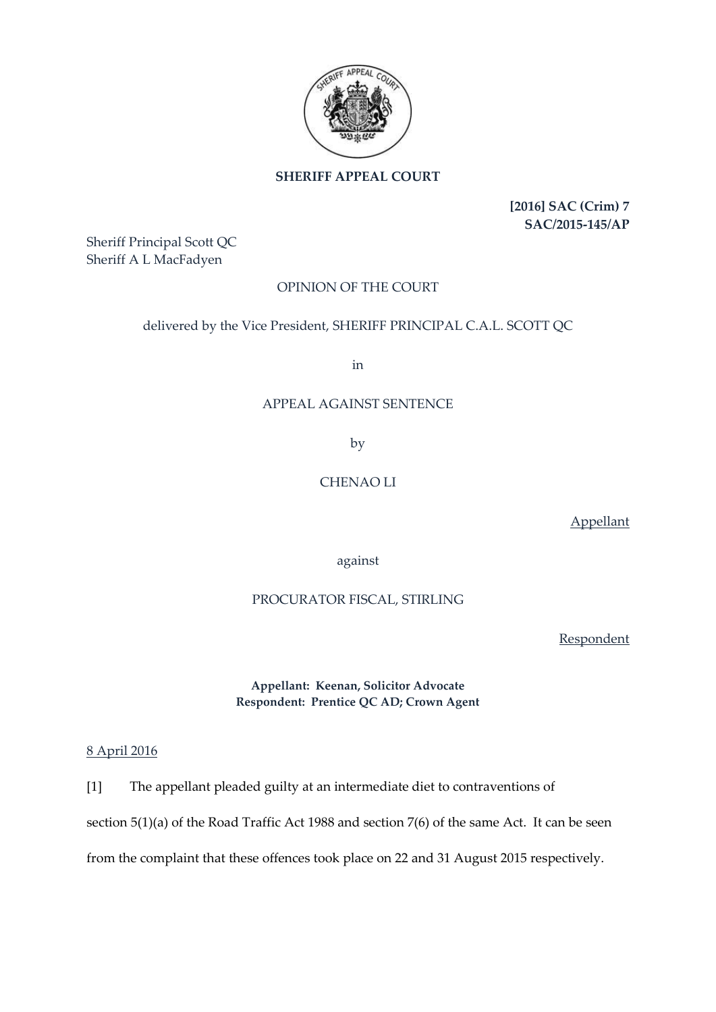

# **SHERIFF APPEAL COURT**

**[2016] SAC (Crim) 7 SAC/2015-145/AP**

Sheriff Principal Scott QC Sheriff A L MacFadyen

# OPINION OF THE COURT

## delivered by the Vice President, SHERIFF PRINCIPAL C.A.L. SCOTT QC

in

#### APPEAL AGAINST SENTENCE

by

# CHENAO LI

Appellant

against

### PROCURATOR FISCAL, STIRLING

Respondent

**Appellant: Keenan, Solicitor Advocate Respondent: Prentice QC AD; Crown Agent**

#### 8 April 2016

[1] The appellant pleaded guilty at an intermediate diet to contraventions of

section 5(1)(a) of the Road Traffic Act 1988 and section 7(6) of the same Act. It can be seen

from the complaint that these offences took place on 22 and 31 August 2015 respectively.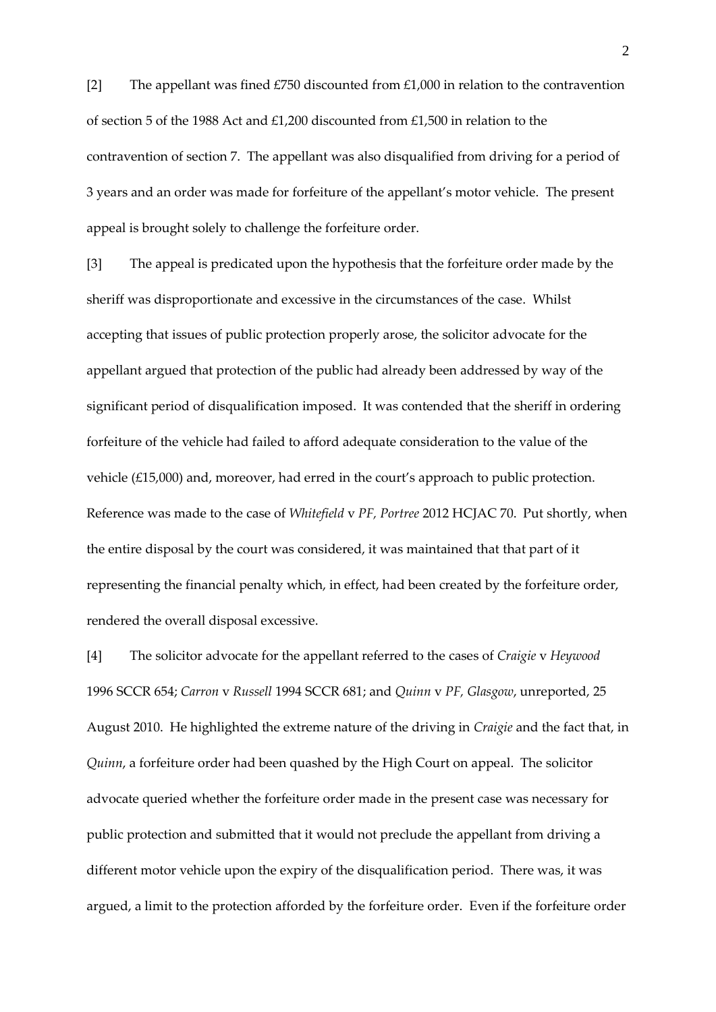[2] The appellant was fined  $£750$  discounted from  $£1,000$  in relation to the contravention of section 5 of the 1988 Act and £1,200 discounted from £1,500 in relation to the contravention of section 7. The appellant was also disqualified from driving for a period of 3 years and an order was made for forfeiture of the appellant's motor vehicle. The present appeal is brought solely to challenge the forfeiture order.

[3] The appeal is predicated upon the hypothesis that the forfeiture order made by the sheriff was disproportionate and excessive in the circumstances of the case. Whilst accepting that issues of public protection properly arose, the solicitor advocate for the appellant argued that protection of the public had already been addressed by way of the significant period of disqualification imposed. It was contended that the sheriff in ordering forfeiture of the vehicle had failed to afford adequate consideration to the value of the vehicle (£15,000) and, moreover, had erred in the court's approach to public protection. Reference was made to the case of *Whitefield* v *PF, Portree* 2012 HCJAC 70. Put shortly, when the entire disposal by the court was considered, it was maintained that that part of it representing the financial penalty which, in effect, had been created by the forfeiture order, rendered the overall disposal excessive.

[4] The solicitor advocate for the appellant referred to the cases of *Craigie* v *Heywood* 1996 SCCR 654; *Carron* v *Russell* 1994 SCCR 681; and *Quinn* v *PF, Glasgow*, unreported, 25 August 2010. He highlighted the extreme nature of the driving in *Craigie* and the fact that, in *Quinn*, a forfeiture order had been quashed by the High Court on appeal. The solicitor advocate queried whether the forfeiture order made in the present case was necessary for public protection and submitted that it would not preclude the appellant from driving a different motor vehicle upon the expiry of the disqualification period. There was, it was argued, a limit to the protection afforded by the forfeiture order. Even if the forfeiture order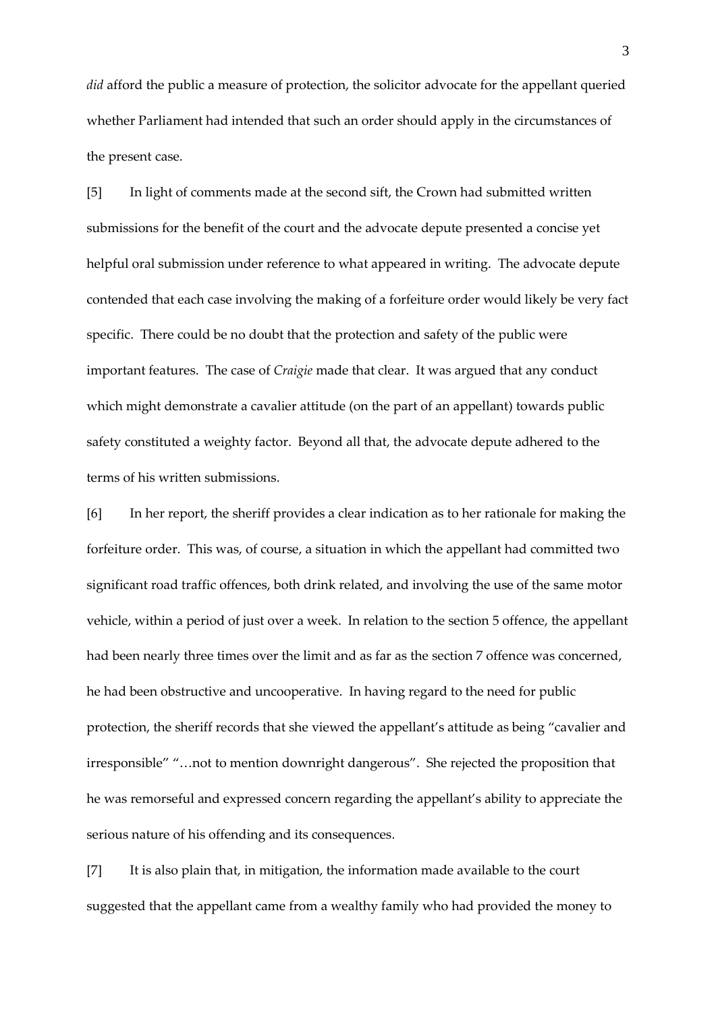*did* afford the public a measure of protection, the solicitor advocate for the appellant queried whether Parliament had intended that such an order should apply in the circumstances of the present case.

[5] In light of comments made at the second sift, the Crown had submitted written submissions for the benefit of the court and the advocate depute presented a concise yet helpful oral submission under reference to what appeared in writing. The advocate depute contended that each case involving the making of a forfeiture order would likely be very fact specific. There could be no doubt that the protection and safety of the public were important features. The case of *Craigie* made that clear. It was argued that any conduct which might demonstrate a cavalier attitude (on the part of an appellant) towards public safety constituted a weighty factor. Beyond all that, the advocate depute adhered to the terms of his written submissions.

[6] In her report, the sheriff provides a clear indication as to her rationale for making the forfeiture order. This was, of course, a situation in which the appellant had committed two significant road traffic offences, both drink related, and involving the use of the same motor vehicle, within a period of just over a week. In relation to the section 5 offence, the appellant had been nearly three times over the limit and as far as the section 7 offence was concerned, he had been obstructive and uncooperative. In having regard to the need for public protection, the sheriff records that she viewed the appellant's attitude as being "cavalier and irresponsible" "…not to mention downright dangerous". She rejected the proposition that he was remorseful and expressed concern regarding the appellant's ability to appreciate the serious nature of his offending and its consequences.

[7] It is also plain that, in mitigation, the information made available to the court suggested that the appellant came from a wealthy family who had provided the money to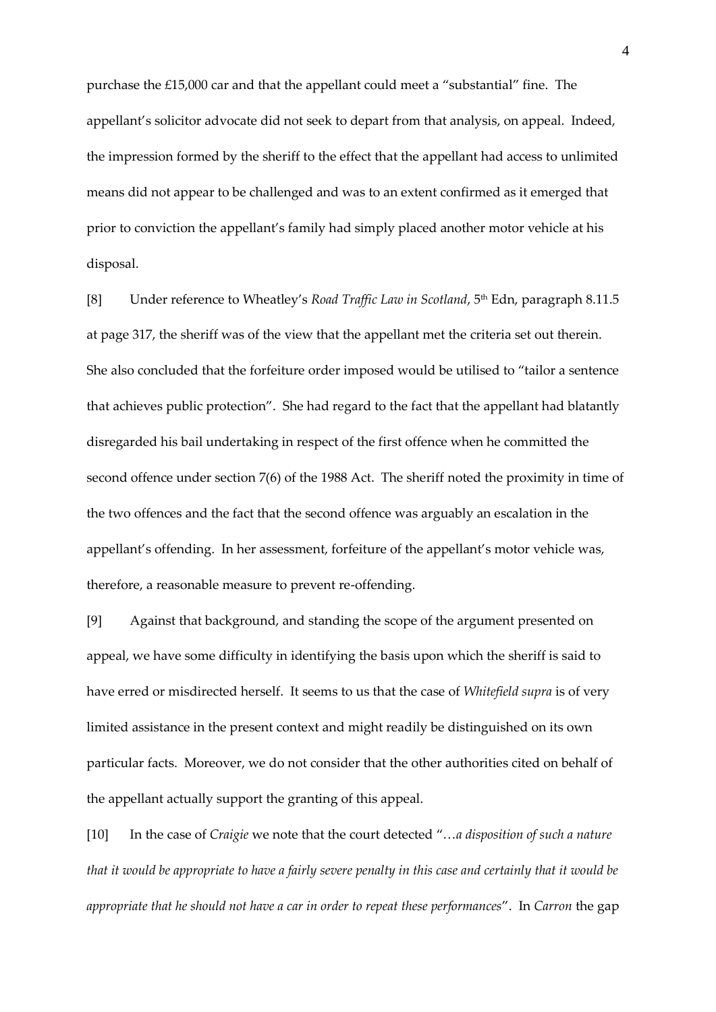purchase the £15,000 car and that the appellant could meet a "substantial" fine. The appellant's solicitor advocate did not seek to depart from that analysis, on appeal. Indeed, the impression formed by the sheriff to the effect that the appellant had access to unlimited means did not appear to be challenged and was to an extent confirmed as it emerged that prior to conviction the appellant's family had simply placed another motor vehicle at his disposal.

[8] Under reference to Wheatley's *Road Traffic Law in Scotland*, 5<sup>th</sup> Edn, paragraph 8.11.5 at page 317, the sheriff was of the view that the appellant met the criteria set out therein. She also concluded that the forfeiture order imposed would be utilised to "tailor a sentence that achieves public protection". She had regard to the fact that the appellant had blatantly disregarded his bail undertaking in respect of the first offence when he committed the second offence under section 7(6) of the 1988 Act. The sheriff noted the proximity in time of the two offences and the fact that the second offence was arguably an escalation in the appellant's offending. In her assessment, forfeiture of the appellant's motor vehicle was, therefore, a reasonable measure to prevent re-offending.

[9] Against that background, and standing the scope of the argument presented on appeal, we have some difficulty in identifying the basis upon which the sheriff is said to have erred or misdirected herself. It seems to us that the case of *Whitefield supra* is of very limited assistance in the present context and might readily be distinguished on its own particular facts. Moreover, we do not consider that the other authorities cited on behalf of the appellant actually support the granting of this appeal.

[10] In the case of *Craigie* we note that the court detected "…*a disposition of such a nature that it would be appropriate to have a fairly severe penalty in this case and certainly that it would be appropriate that he should not have a car in order to repeat these performances*". In *Carron* the gap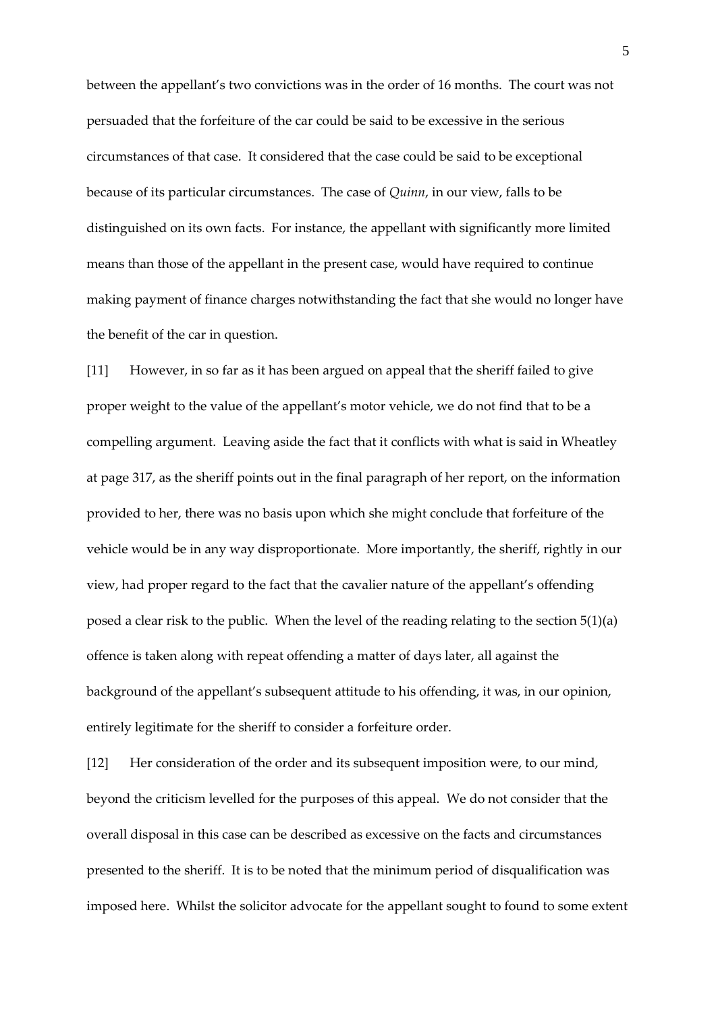between the appellant's two convictions was in the order of 16 months. The court was not persuaded that the forfeiture of the car could be said to be excessive in the serious circumstances of that case. It considered that the case could be said to be exceptional because of its particular circumstances. The case of *Quinn*, in our view, falls to be distinguished on its own facts. For instance, the appellant with significantly more limited means than those of the appellant in the present case, would have required to continue making payment of finance charges notwithstanding the fact that she would no longer have the benefit of the car in question.

[11] However, in so far as it has been argued on appeal that the sheriff failed to give proper weight to the value of the appellant's motor vehicle, we do not find that to be a compelling argument. Leaving aside the fact that it conflicts with what is said in Wheatley at page 317, as the sheriff points out in the final paragraph of her report, on the information provided to her, there was no basis upon which she might conclude that forfeiture of the vehicle would be in any way disproportionate. More importantly, the sheriff, rightly in our view, had proper regard to the fact that the cavalier nature of the appellant's offending posed a clear risk to the public. When the level of the reading relating to the section 5(1)(a) offence is taken along with repeat offending a matter of days later, all against the background of the appellant's subsequent attitude to his offending, it was, in our opinion, entirely legitimate for the sheriff to consider a forfeiture order.

[12] Her consideration of the order and its subsequent imposition were, to our mind, beyond the criticism levelled for the purposes of this appeal. We do not consider that the overall disposal in this case can be described as excessive on the facts and circumstances presented to the sheriff. It is to be noted that the minimum period of disqualification was imposed here. Whilst the solicitor advocate for the appellant sought to found to some extent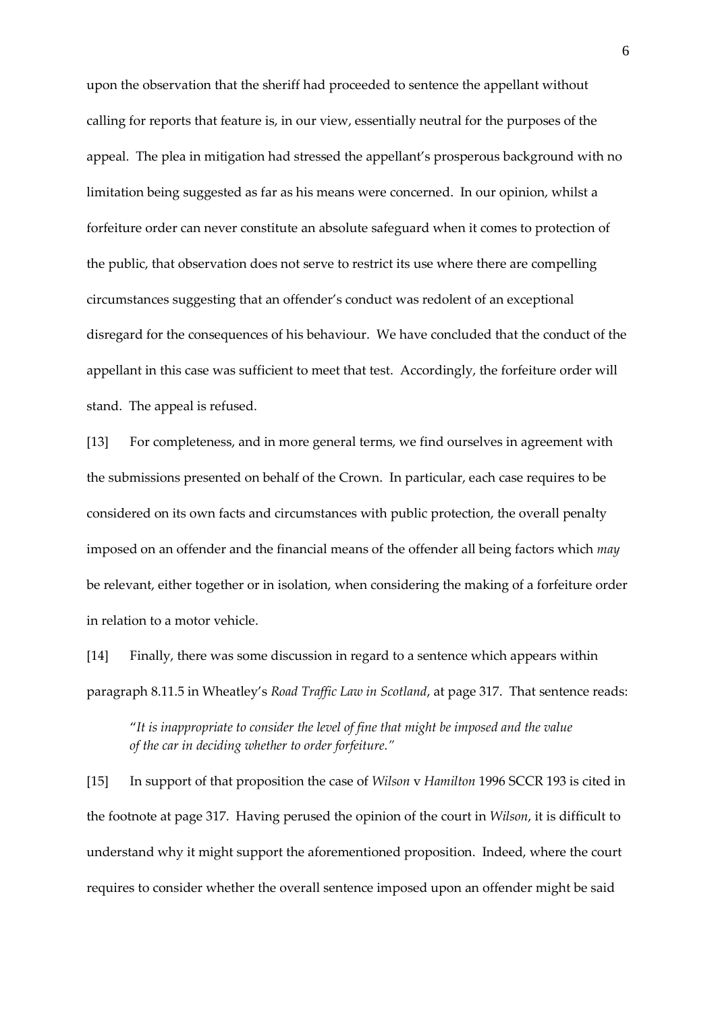upon the observation that the sheriff had proceeded to sentence the appellant without calling for reports that feature is, in our view, essentially neutral for the purposes of the appeal. The plea in mitigation had stressed the appellant's prosperous background with no limitation being suggested as far as his means were concerned. In our opinion, whilst a forfeiture order can never constitute an absolute safeguard when it comes to protection of the public, that observation does not serve to restrict its use where there are compelling circumstances suggesting that an offender's conduct was redolent of an exceptional disregard for the consequences of his behaviour. We have concluded that the conduct of the appellant in this case was sufficient to meet that test. Accordingly, the forfeiture order will stand. The appeal is refused.

[13] For completeness, and in more general terms, we find ourselves in agreement with the submissions presented on behalf of the Crown. In particular, each case requires to be considered on its own facts and circumstances with public protection, the overall penalty imposed on an offender and the financial means of the offender all being factors which *may* be relevant, either together or in isolation, when considering the making of a forfeiture order in relation to a motor vehicle.

[14] Finally, there was some discussion in regard to a sentence which appears within paragraph 8.11.5 in Wheatley's *Road Traffic Law in Scotland*, at page 317. That sentence reads:

"*It is inappropriate to consider the level of fine that might be imposed and the value of the car in deciding whether to order forfeiture."*

[15] In support of that proposition the case of *Wilson* v *Hamilton* 1996 SCCR 193 is cited in the footnote at page 317. Having perused the opinion of the court in *Wilson*, it is difficult to understand why it might support the aforementioned proposition. Indeed, where the court requires to consider whether the overall sentence imposed upon an offender might be said